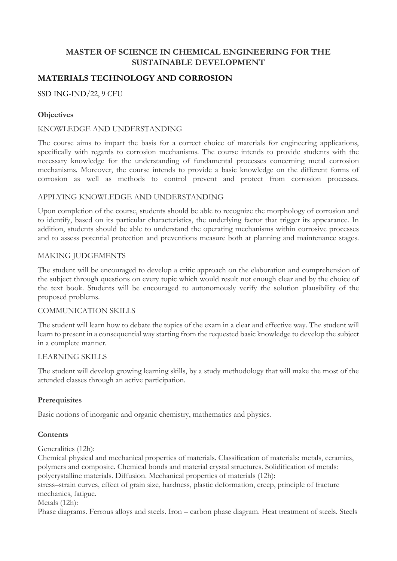## **MASTER OF SCIENCE IN CHEMICAL ENGINEERING FOR THE SUSTAINABLE DEVELOPMENT**

# **MATERIALS TECHNOLOGY AND CORROSION**

## SSD ING-IND/22, 9 CFU

## **Objectives**

#### KNOWLEDGE AND UNDERSTANDING

The course aims to impart the basis for a correct choice of materials for engineering applications, specifically with regards to corrosion mechanisms. The course intends to provide students with the necessary knowledge for the understanding of fundamental processes concerning metal corrosion mechanisms. Moreover, the course intends to provide a basic knowledge on the different forms of corrosion as well as methods to control prevent and protect from corrosion processes.

#### APPLYING KNOWLEDGE AND UNDERSTANDING

Upon completion of the course, students should be able to recognize the morphology of corrosion and to identify, based on its particular characteristics, the underlying factor that trigger its appearance. In addition, students should be able to understand the operating mechanisms within corrosive processes and to assess potential protection and preventions measure both at planning and maintenance stages.

#### MAKING JUDGEMENTS

The student will be encouraged to develop a critic approach on the elaboration and comprehension of the subject through questions on every topic which would result not enough clear and by the choice of the text book. Students will be encouraged to autonomously verify the solution plausibility of the proposed problems.

#### COMMUNICATION SKILLS

The student will learn how to debate the topics of the exam in a clear and effective way. The student will learn to present in a consequential way starting from the requested basic knowledge to develop the subject in a complete manner.

#### LEARNING SKILLS

The student will develop growing learning skills, by a study methodology that will make the most of the attended classes through an active participation.

#### **Prerequisites**

Basic notions of inorganic and organic chemistry, mathematics and physics.

#### **Contents**

Generalities (12h):

Chemical physical and mechanical properties of materials. Classification of materials: metals, ceramics, polymers and composite. Chemical bonds and material crystal structures. Solidification of metals: polycrystalline materials. Diffusion. Mechanical properties of materials (12h):

stress–strain curves, effect of grain size, hardness, plastic deformation, creep, principle of fracture mechanics, fatigue.

Metals (12h):

Phase diagrams. Ferrous alloys and steels. Iron – carbon phase diagram. Heat treatment of steels. Steels